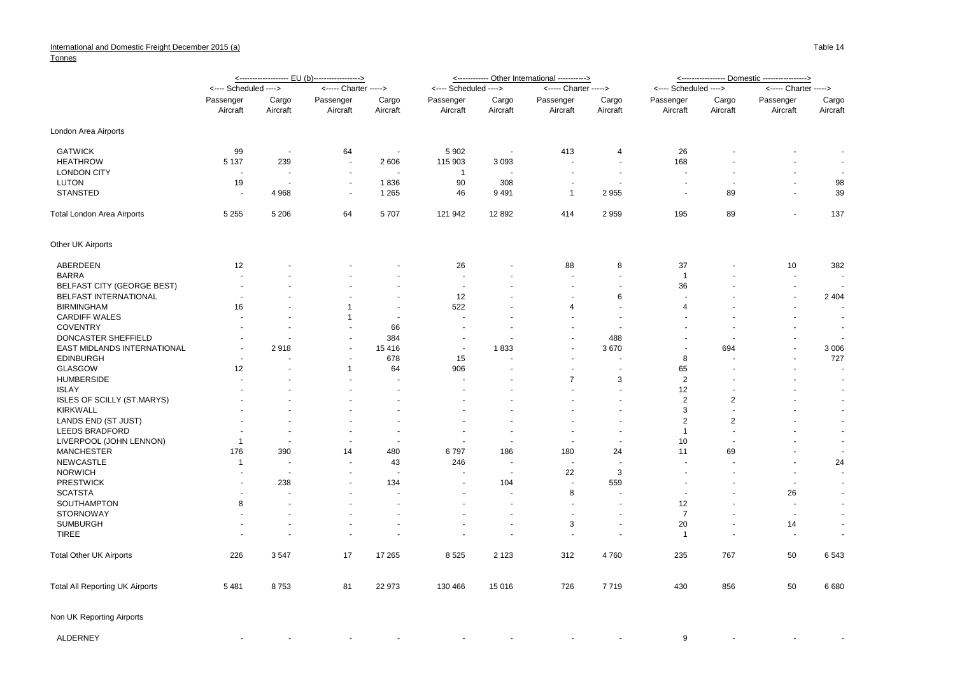## **Tonnes**

|                                        |                          |                          | <------------------- EU (b)-----------------> |          |                       |                      | <------------ Other International -----------> | <----------------- Domestic ----------------> |                          |                |                          |                          |
|----------------------------------------|--------------------------|--------------------------|-----------------------------------------------|----------|-----------------------|----------------------|------------------------------------------------|-----------------------------------------------|--------------------------|----------------|--------------------------|--------------------------|
|                                        | <---- Scheduled ---->    |                          | <----- Charter ----->                         |          | <---- Scheduled ----> |                      | <----- Charter ----->                          |                                               | <---- Scheduled ---->    |                | <----- Charter ----->    |                          |
|                                        | Passenger                | Cargo                    | Passenger                                     | Cargo    | Passenger             | Cargo                | Passenger                                      | Cargo                                         | Passenger                | Cargo          | Passenger                | Cargo                    |
|                                        | Aircraft                 | Aircraft                 | Aircraft                                      | Aircraft | Aircraft              | Aircraft             | Aircraft                                       | Aircraft                                      | Aircraft                 | Aircraft       | Aircraft                 | Aircraft                 |
| London Area Airports                   |                          |                          |                                               |          |                       |                      |                                                |                                               |                          |                |                          |                          |
| <b>GATWICK</b>                         | 99                       | $\overline{\phantom{a}}$ | 64                                            | $\sim$   | 5 9 0 2               | $\blacksquare$       | 413                                            | $\overline{4}$                                | 26                       |                |                          | $\overline{\phantom{a}}$ |
| <b>HEATHROW</b>                        | 5 1 3 7                  | 239                      |                                               | 2 606    | 115 903               | 3093                 |                                                | $\blacksquare$                                | 168                      |                |                          | $\overline{\phantom{a}}$ |
| <b>LONDON CITY</b>                     | $\overline{a}$           | $\overline{a}$           | $\sim$                                        |          | $\overline{1}$        |                      | $\sim$                                         | $\sim$                                        | $\sim$                   |                | $\sim$                   | $\sim$                   |
| LUTON                                  | 19                       | $\overline{\phantom{a}}$ | $\sim$                                        | 1836     | 90                    | 308                  | $\overline{a}$                                 | $\overline{a}$                                | $\overline{\phantom{a}}$ |                | $\sim$                   | 98                       |
| <b>STANSTED</b>                        | $\overline{a}$           | 4 9 6 8                  | $\overline{\phantom{a}}$                      | 1 2 6 5  | 46                    | 9491                 | $\overline{1}$                                 | 2955                                          | $\overline{\phantom{a}}$ | 89             | $\sim$                   | 39                       |
| Total London Area Airports             | 5 2 5 5                  | 5 2 0 6                  | 64                                            | 5707     | 121 942               | 12 8 9 2             | 414                                            | 2959                                          | 195                      | 89             | $\sim$                   | 137                      |
| Other UK Airports                      |                          |                          |                                               |          |                       |                      |                                                |                                               |                          |                |                          |                          |
| ABERDEEN                               | 12                       |                          |                                               |          | 26                    |                      | 88                                             | 8                                             | 37                       |                | 10                       | 382                      |
| <b>BARRA</b>                           |                          |                          |                                               |          |                       |                      | ÷.                                             | $\overline{a}$                                | $\overline{1}$           |                | $\sim$                   | $\sim$                   |
| <b>BELFAST CITY (GEORGE BEST)</b>      |                          |                          |                                               |          |                       |                      |                                                | $\overline{a}$                                | 36                       |                | ÷.                       |                          |
| BELFAST INTERNATIONAL                  |                          |                          |                                               |          | 12                    |                      |                                                | 6                                             |                          |                | $\sim$                   | 2 4 0 4                  |
| <b>BIRMINGHAM</b>                      | 16                       |                          | 1                                             |          | 522                   |                      | 4                                              | $\ddot{\phantom{1}}$                          | 4                        |                |                          |                          |
| <b>CARDIFF WALES</b>                   |                          |                          | $\mathbf{1}$                                  |          |                       |                      |                                                |                                               |                          |                |                          | $\sim$                   |
| <b>COVENTRY</b>                        |                          |                          |                                               | 66       |                       |                      |                                                |                                               |                          |                |                          | $\sim$                   |
| DONCASTER SHEFFIELD                    |                          |                          |                                               | 384      |                       |                      |                                                | 488                                           |                          |                |                          | $\sim$                   |
| EAST MIDLANDS INTERNATIONAL            |                          | 2918                     |                                               | 15 4 16  | $\blacksquare$        | 1833                 |                                                | 3670                                          |                          | 694            |                          | 3 0 0 6                  |
| <b>EDINBURGH</b>                       | $\overline{\phantom{a}}$ |                          |                                               | 678      | 15                    |                      |                                                |                                               | 8                        |                |                          | 727                      |
| <b>GLASGOW</b>                         | 12                       |                          | $\mathbf{1}$                                  | 64       | 906                   |                      | $\blacksquare$                                 | ä,                                            | 65                       |                |                          | $\sim$                   |
| <b>HUMBERSIDE</b>                      |                          |                          |                                               |          |                       |                      | $\overline{7}$                                 | 3                                             | 2                        |                |                          | $\blacksquare$           |
| <b>ISLAY</b>                           |                          |                          |                                               |          |                       |                      | $\blacksquare$                                 | $\blacksquare$                                | 12                       |                |                          | $\sim$                   |
| <b>ISLES OF SCILLY (ST.MARYS)</b>      |                          |                          |                                               |          |                       |                      |                                                | $\blacksquare$                                | 2                        | $\overline{c}$ |                          | $\sim$                   |
| <b>KIRKWALL</b>                        |                          |                          |                                               |          |                       |                      |                                                |                                               | 3                        |                |                          | $\sim$                   |
| LANDS END (ST JUST)                    |                          |                          |                                               |          |                       |                      |                                                |                                               | $\overline{2}$           | 2              |                          | $\sim$                   |
| LEEDS BRADFORD                         |                          |                          |                                               |          |                       |                      |                                                |                                               | $\overline{1}$           |                |                          | $\blacksquare$           |
| LIVERPOOL (JOHN LENNON)                | $\mathbf{1}$             | $\overline{\phantom{a}}$ |                                               |          |                       |                      |                                                | $\sim$                                        | 10                       |                |                          | $\sim$                   |
| <b>MANCHESTER</b>                      | 176                      | 390                      | 14                                            | 480      | 6797                  | 186                  | 180                                            | 24                                            | 11                       | 69             |                          | $\sim$                   |
| <b>NEWCASTLE</b>                       | $\mathbf 1$              | $\sim$                   |                                               | 43       | 246                   |                      |                                                | $\ddot{\phantom{1}}$                          |                          |                |                          | 24                       |
| <b>NORWICH</b>                         |                          |                          |                                               |          |                       | J.                   | 22                                             | 3                                             |                          |                |                          | $\sim$                   |
| <b>PRESTWICK</b>                       |                          | 238                      |                                               | 134      |                       | 104                  | $\ddot{\phantom{1}}$                           | 559                                           |                          |                | $\overline{a}$           | $\sim$                   |
| <b>SCATSTA</b>                         | $\overline{\phantom{a}}$ | $\overline{a}$           |                                               | i.       |                       | ÷.                   | 8                                              | ÷.                                            |                          |                | 26                       | $\sim$                   |
| SOUTHAMPTON                            | 8                        |                          |                                               |          |                       |                      | $\overline{\phantom{a}}$                       | ٠                                             | 12                       |                | $\overline{a}$           | $\sim$                   |
| <b>STORNOWAY</b>                       |                          | $\sim$                   |                                               |          |                       | $\ddot{\phantom{1}}$ | $\blacksquare$                                 | $\overline{a}$                                | $\overline{7}$           |                | $\overline{\phantom{a}}$ | $\sim$                   |
| <b>SUMBURGH</b>                        |                          |                          |                                               |          |                       |                      | 3                                              | ä,                                            | 20                       |                | 14                       | $\sim$                   |
| <b>TIREE</b>                           |                          |                          |                                               |          |                       |                      |                                                | $\blacksquare$                                | $\overline{1}$           |                | $\overline{\phantom{a}}$ | $\sim$                   |
| <b>Total Other UK Airports</b>         | 226                      | 3547                     | 17                                            | 17 265   | 8 5 2 5               | 2 1 2 3              | 312                                            | 4760                                          | 235                      | 767            | 50                       | 6543                     |
| <b>Total All Reporting UK Airports</b> | 5 4 8 1                  | 8753                     | 81                                            | 22 973   | 130 466               | 15 016               | 726                                            | 7719                                          | 430                      | 856            | 50                       | 6680                     |

| ALDERNEY |  |  |  |  |  |  |  | rested to the contract of the contract of the contract of the contract of the contract of the contract of the c |  |  |  |  |
|----------|--|--|--|--|--|--|--|-----------------------------------------------------------------------------------------------------------------|--|--|--|--|
|----------|--|--|--|--|--|--|--|-----------------------------------------------------------------------------------------------------------------|--|--|--|--|